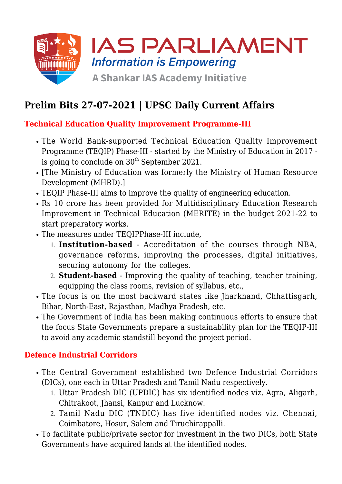

# **Prelim Bits 27-07-2021 | UPSC Daily Current Affairs**

### **Technical Education Quality Improvement Programme-III**

- The World Bank-supported Technical Education Quality Improvement Programme (TEQIP) Phase-III - started by the Ministry of Education in 2017 is going to conclude on  $30<sup>th</sup>$  September 2021.
- [The Ministry of Education was formerly the Ministry of Human Resource Development (MHRD).]
- TEQIP Phase-III aims to improve the quality of engineering education.
- Rs 10 crore has been provided for Multidisciplinary Education Research Improvement in Technical Education (MERITE) in the budget 2021-22 to start preparatory works.
- The measures under TEQIPPhase-III include,
	- 1. **Institution-based** Accreditation of the courses through NBA, governance reforms, improving the processes, digital initiatives, securing autonomy for the colleges.
	- 2. **Student-based** Improving the quality of teaching, teacher training, equipping the class rooms, revision of syllabus, etc.,
- The focus is on the most backward states like Jharkhand, Chhattisgarh, Bihar, North-East, Rajasthan, Madhya Pradesh, etc.
- The Government of India has been making continuous efforts to ensure that the focus State Governments prepare a sustainability plan for the TEQIP-III to avoid any academic standstill beyond the project period.

### **Defence Industrial Corridors**

- The Central Government established two Defence Industrial Corridors (DICs), one each in Uttar Pradesh and Tamil Nadu respectively.
	- 1. Uttar Pradesh DIC (UPDIC) has six identified nodes viz. Agra, Aligarh, Chitrakoot, Jhansi, Kanpur and Lucknow.
	- 2. Tamil Nadu DIC (TNDIC) has five identified nodes viz. Chennai, Coimbatore, Hosur, Salem and Tiruchirappalli.
- To facilitate public/private sector for investment in the two DICs, both State Governments have acquired lands at the identified nodes.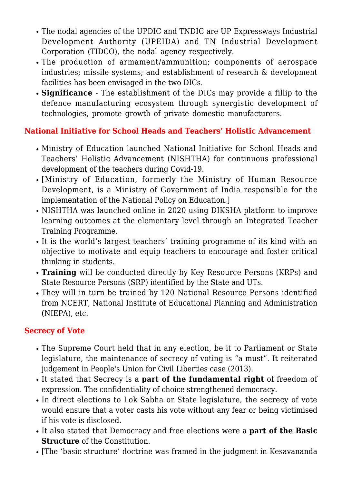- The nodal agencies of the UPDIC and TNDIC are UP Expressways Industrial Development Authority (UPEIDA) and TN Industrial Development Corporation (TIDCO), the nodal agency respectively.
- The production of armament/ammunition; components of aerospace industries; missile systems; and establishment of research & development facilities has been envisaged in the two DICs.
- **Significance**  The establishment of the DICs may provide a fillip to the defence manufacturing ecosystem through synergistic development of technologies, promote growth of private domestic manufacturers.

## **National Initiative for School Heads and Teachers' Holistic Advancement**

- Ministry of Education launched National Initiative for School Heads and Teachers' Holistic Advancement (NISHTHA) for continuous professional development of the teachers during Covid-19.
- [Ministry of Education, formerly the Ministry of Human Resource Development, is a Ministry of Government of India responsible for the implementation of the National Policy on Education.]
- NISHTHA was launched online in 2020 using DIKSHA platform to improve learning outcomes at the elementary level through an Integrated Teacher Training Programme.
- It is the world's largest teachers' training programme of its kind with an objective to motivate and equip teachers to encourage and foster critical thinking in students.
- **Training** will be conducted directly by Key Resource Persons (KRPs) and State Resource Persons (SRP) identified by the State and UTs.
- They will in turn be trained by 120 National Resource Persons identified from NCERT, National Institute of Educational Planning and Administration (NIEPA), etc.

#### **Secrecy of Vote**

- The Supreme Court held that in any election, be it to Parliament or State legislature, the maintenance of secrecy of voting is "a must". It reiterated judgement in People's Union for Civil Liberties case (2013).
- It stated that Secrecy is a **part of the fundamental right** of freedom of expression. The confidentiality of choice strengthened democracy.
- In direct elections to Lok Sabha or State legislature, the secrecy of vote would ensure that a voter casts his vote without any fear or being victimised if his vote is disclosed.
- It also stated that Democracy and free elections were a **part of the Basic Structure** of the Constitution.
- [The 'basic structure' doctrine was framed in the judgment in Kesavananda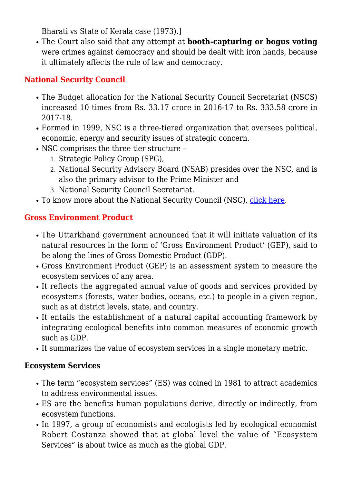Bharati vs State of Kerala case (1973).]

The Court also said that any attempt at **booth-capturing or bogus voting** were crimes against democracy and should be dealt with iron hands, because it ultimately affects the rule of law and democracy.

## **National Security Council**

- The Budget allocation for the National Security Council Secretariat (NSCS) increased 10 times from Rs. 33.17 crore in 2016-17 to Rs. 333.58 crore in 2017-18.
- Formed in 1999, NSC is a three-tiered organization that oversees political, economic, energy and security issues of strategic concern.
- NSC comprises the three tier structure
	- 1. Strategic Policy Group (SPG),
	- 2. National Security Advisory Board (NSAB) presides over the NSC, and is also the primary advisor to the Prime Minister and
	- 3. National Security Council Secretariat.
- To know more about the National Security Council (NSC), [click here.](https://www.iasparliament.com/current-affairs/prelim-bits-15-03-2017)

## **Gross Environment Product**

- The Uttarkhand government announced that it will initiate valuation of its natural resources in the form of 'Gross Environment Product' (GEP), said to be along the lines of Gross Domestic Product (GDP).
- Gross Environment Product (GEP) is an assessment system to measure the ecosystem services of any area.
- It reflects the aggregated annual value of goods and services provided by ecosystems (forests, water bodies, oceans, etc.) to people in a given region, such as at district levels, state, and country.
- It entails the establishment of a natural capital accounting framework by integrating ecological benefits into common measures of economic growth such as GDP.
- It summarizes the value of ecosystem services in a single monetary metric.

## **Ecosystem Services**

- The term "ecosystem services" (ES) was coined in 1981 to attract academics to address environmental issues.
- ES are the benefits human populations derive, directly or indirectly, from ecosystem functions.
- In 1997, a group of economists and ecologists led by ecological economist Robert Costanza showed that at global level the value of "Ecosystem Services" is about twice as much as the global GDP.